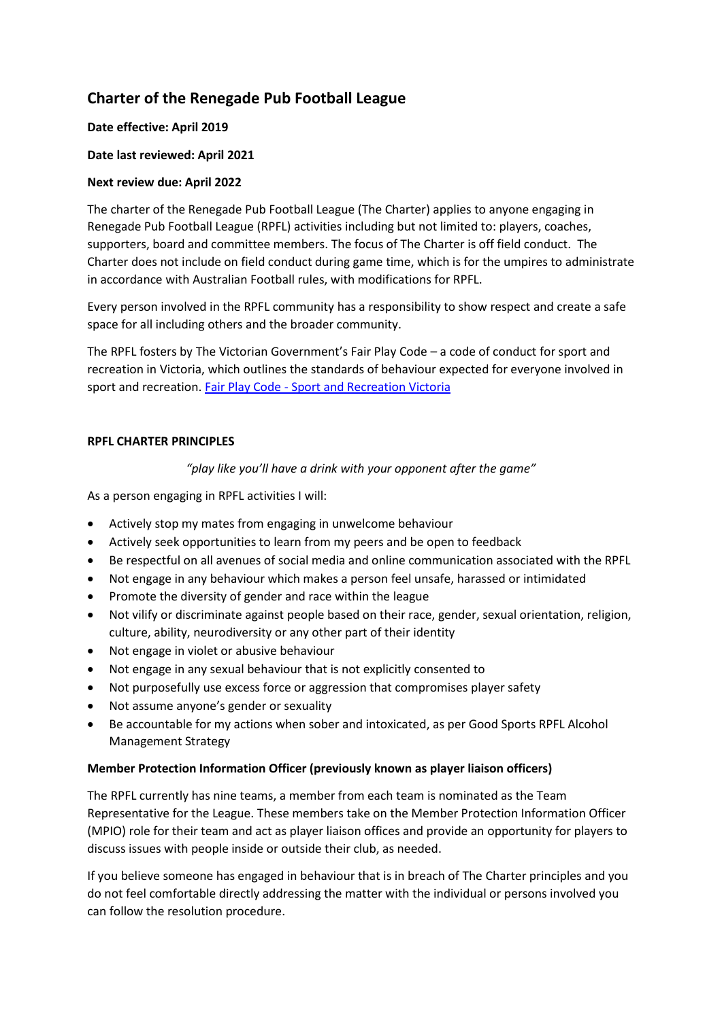# **Charter of the Renegade Pub Football League**

## **Date effective: April 2019**

# **Date last reviewed: April 2021**

# **Next review due: April 2022**

The charter of the Renegade Pub Football League (The Charter) applies to anyone engaging in Renegade Pub Football League (RPFL) activities including but not limited to: players, coaches, supporters, board and committee members. The focus of The Charter is off field conduct. The Charter does not include on field conduct during game time, which is for the umpires to administrate in accordance with Australian Football rules, with modifications for RPFL.

Every person involved in the RPFL community has a responsibility to show respect and create a safe space for all including others and the broader community.

The RPFL fosters by The Victorian Government's Fair Play Code – a code of conduct for sport and recreation in Victoria, which outlines the standards of behaviour expected for everyone involved in sport and recreation. Fair Play Code - [Sport and Recreation Victoria](https://sport.vic.gov.au/publications-and-resources/community-sport-resources/fair-play-code)

### **RPFL CHARTER PRINCIPLES**

# *"play like you'll have a drink with your opponent after the game"*

As a person engaging in RPFL activities I will:

- Actively stop my mates from engaging in unwelcome behaviour
- Actively seek opportunities to learn from my peers and be open to feedback
- Be respectful on all avenues of social media and online communication associated with the RPFL
- Not engage in any behaviour which makes a person feel unsafe, harassed or intimidated
- Promote the diversity of gender and race within the league
- Not vilify or discriminate against people based on their race, gender, sexual orientation, religion, culture, ability, neurodiversity or any other part of their identity
- Not engage in violet or abusive behaviour
- Not engage in any sexual behaviour that is not explicitly consented to
- Not purposefully use excess force or aggression that compromises player safety
- Not assume anyone's gender or sexuality
- Be accountable for my actions when sober and intoxicated, as per Good Sports RPFL Alcohol Management Strategy

### **Member Protection Information Officer (previously known as player liaison officers)**

The RPFL currently has nine teams, a member from each team is nominated as the Team Representative for the League. These members take on the Member Protection Information Officer (MPIO) role for their team and act as player liaison offices and provide an opportunity for players to discuss issues with people inside or outside their club, as needed.

If you believe someone has engaged in behaviour that is in breach of The Charter principles and you do not feel comfortable directly addressing the matter with the individual or persons involved you can follow the resolution procedure.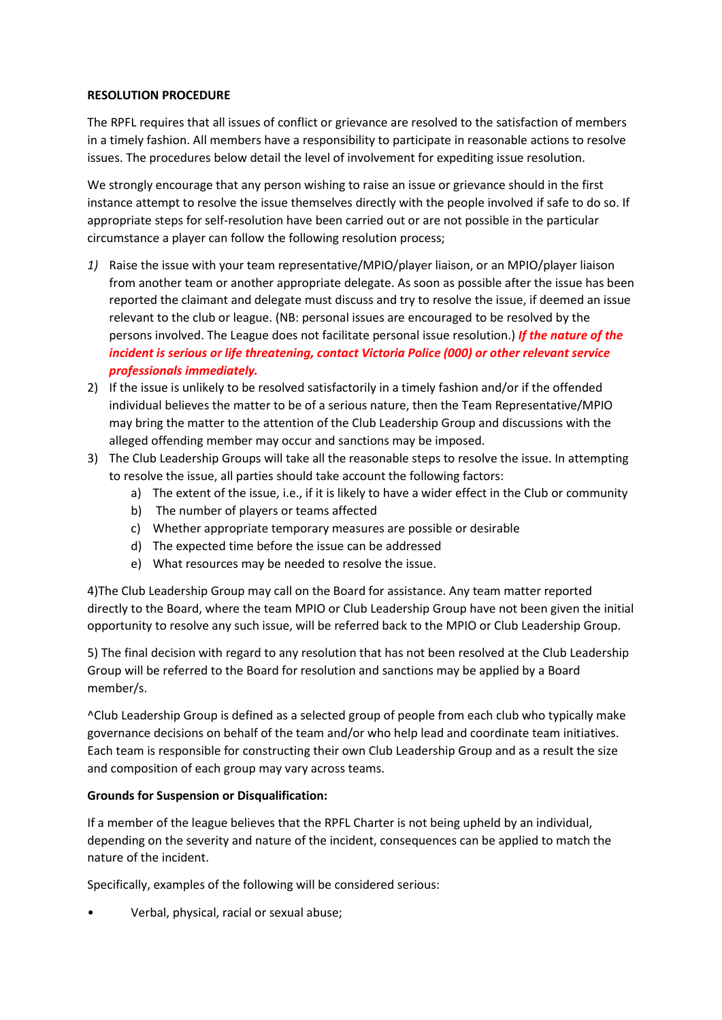#### **RESOLUTION PROCEDURE**

The RPFL requires that all issues of conflict or grievance are resolved to the satisfaction of members in a timely fashion. All members have a responsibility to participate in reasonable actions to resolve issues. The procedures below detail the level of involvement for expediting issue resolution.

We strongly encourage that any person wishing to raise an issue or grievance should in the first instance attempt to resolve the issue themselves directly with the people involved if safe to do so. If appropriate steps for self-resolution have been carried out or are not possible in the particular circumstance a player can follow the following resolution process;

- *1)* Raise the issue with your team representative/MPIO/player liaison, or an MPIO/player liaison from another team or another appropriate delegate. As soon as possible after the issue has been reported the claimant and delegate must discuss and try to resolve the issue, if deemed an issue relevant to the club or league. (NB: personal issues are encouraged to be resolved by the persons involved. The League does not facilitate personal issue resolution.) *If the nature of the incident is serious or life threatening, contact Victoria Police (000) or other relevant service professionals immediately.*
- 2) If the issue is unlikely to be resolved satisfactorily in a timely fashion and/or if the offended individual believes the matter to be of a serious nature, then the Team Representative/MPIO may bring the matter to the attention of the Club Leadership Group and discussions with the alleged offending member may occur and sanctions may be imposed.
- 3) The Club Leadership Groups will take all the reasonable steps to resolve the issue. In attempting to resolve the issue, all parties should take account the following factors:
	- a) The extent of the issue, i.e., if it is likely to have a wider effect in the Club or community
	- b) The number of players or teams affected
	- c) Whether appropriate temporary measures are possible or desirable
	- d) The expected time before the issue can be addressed
	- e) What resources may be needed to resolve the issue.

4)The Club Leadership Group may call on the Board for assistance. Any team matter reported directly to the Board, where the team MPIO or Club Leadership Group have not been given the initial opportunity to resolve any such issue, will be referred back to the MPIO or Club Leadership Group.

5) The final decision with regard to any resolution that has not been resolved at the Club Leadership Group will be referred to the Board for resolution and sanctions may be applied by a Board member/s.

^Club Leadership Group is defined as a selected group of people from each club who typically make governance decisions on behalf of the team and/or who help lead and coordinate team initiatives. Each team is responsible for constructing their own Club Leadership Group and as a result the size and composition of each group may vary across teams.

#### **Grounds for Suspension or Disqualification:**

If a member of the league believes that the RPFL Charter is not being upheld by an individual, depending on the severity and nature of the incident, consequences can be applied to match the nature of the incident.

Specifically, examples of the following will be considered serious:

• Verbal, physical, racial or sexual abuse;